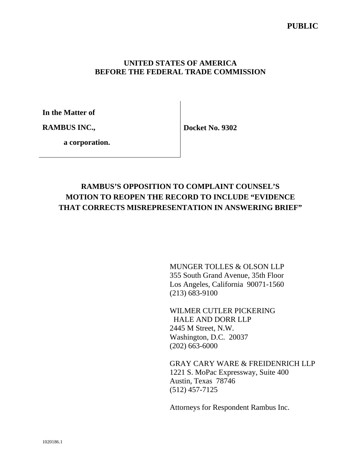#### **UNITED STATES OF AMERICA BEFORE THE FEDERAL TRADE COMMISSION**

**In the Matter of** 

**RAMBUS INC.,** 

**Docket No. 9302** 

 **a corporation.**

# **RAMBUS'S OPPOSITION TO COMPLAINT COUNSEL'S MOTION TO REOPEN THE RECORD TO INCLUDE "EVIDENCE THAT CORRECTS MISREPRESENTATION IN ANSWERING BRIEF"**

MUNGER TOLLES & OLSON LLP 355 South Grand Avenue, 35th Floor Los Angeles, California 90071-1560 (213) 683-9100

WILMER CUTLER PICKERING HALE AND DORR LLP 2445 M Street, N.W. Washington, D.C. 20037 (202) 663-6000

GRAY CARY WARE & FREIDENRICH LLP 1221 S. MoPac Expressway, Suite 400 Austin, Texas 78746 (512) 457-7125

Attorneys for Respondent Rambus Inc.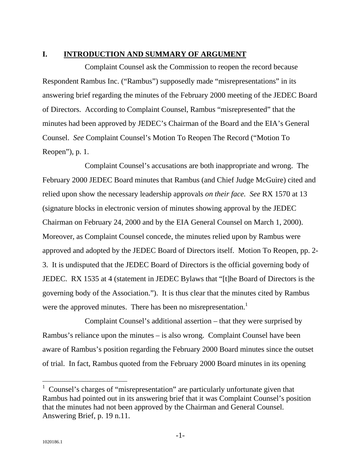#### **I. INTRODUCTION AND SUMMARY OF ARGUMENT**

Complaint Counsel ask the Commission to reopen the record because Respondent Rambus Inc. ("Rambus") supposedly made "misrepresentations" in its answering brief regarding the minutes of the February 2000 meeting of the JEDEC Board of Directors. According to Complaint Counsel, Rambus "misrepresented" that the minutes had been approved by JEDEC's Chairman of the Board and the EIA's General Counsel. *See* Complaint Counsel's Motion To Reopen The Record ("Motion To Reopen"), p. 1.

Complaint Counsel's accusations are both inappropriate and wrong. The February 2000 JEDEC Board minutes that Rambus (and Chief Judge McGuire) cited and relied upon show the necessary leadership approvals *on their face. See* RX 1570 at 13 (signature blocks in electronic version of minutes showing approval by the JEDEC Chairman on February 24, 2000 and by the EIA General Counsel on March 1, 2000). Moreover, as Complaint Counsel concede, the minutes relied upon by Rambus were approved and adopted by the JEDEC Board of Directors itself. Motion To Reopen, pp. 2- 3. It is undisputed that the JEDEC Board of Directors is the official governing body of JEDEC. RX 1535 at 4 (statement in JEDEC Bylaws that "[t]he Board of Directors is the governing body of the Association."). It is thus clear that the minutes cited by Rambus were the approved minutes. There has been no misrepresentation.<sup>1</sup>

Complaint Counsel's additional assertion – that they were surprised by Rambus's reliance upon the minutes – is also wrong. Complaint Counsel have been aware of Rambus's position regarding the February 2000 Board minutes since the outset of trial. In fact, Rambus quoted from the February 2000 Board minutes in its opening

 $\overline{a}$ 

<sup>&</sup>lt;sup>1</sup> Counsel's charges of "misrepresentation" are particularly unfortunate given that Rambus had pointed out in its answering brief that it was Complaint Counsel's position that the minutes had not been approved by the Chairman and General Counsel. Answering Brief, p. 19 n.11.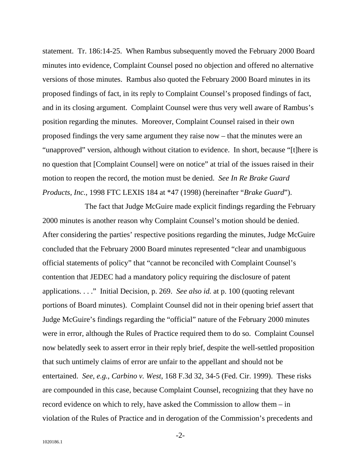statement. Tr. 186:14-25. When Rambus subsequently moved the February 2000 Board minutes into evidence, Complaint Counsel posed no objection and offered no alternative versions of those minutes. Rambus also quoted the February 2000 Board minutes in its proposed findings of fact, in its reply to Complaint Counsel's proposed findings of fact, and in its closing argument. Complaint Counsel were thus very well aware of Rambus's position regarding the minutes. Moreover, Complaint Counsel raised in their own proposed findings the very same argument they raise now – that the minutes were an "unapproved" version, although without citation to evidence. In short, because "[t]here is no question that [Complaint Counsel] were on notice" at trial of the issues raised in their motion to reopen the record, the motion must be denied. *See In Re Brake Guard Products, Inc.*, 1998 FTC LEXIS 184 at \*47 (1998) (hereinafter "*Brake Guard*").

The fact that Judge McGuire made explicit findings regarding the February 2000 minutes is another reason why Complaint Counsel's motion should be denied. After considering the parties' respective positions regarding the minutes, Judge McGuire concluded that the February 2000 Board minutes represented "clear and unambiguous official statements of policy" that "cannot be reconciled with Complaint Counsel's contention that JEDEC had a mandatory policy requiring the disclosure of patent applications. . . ." Initial Decision, p. 269. *See also id.* at p. 100 (quoting relevant portions of Board minutes). Complaint Counsel did not in their opening brief assert that Judge McGuire's findings regarding the "official" nature of the February 2000 minutes were in error, although the Rules of Practice required them to do so. Complaint Counsel now belatedly seek to assert error in their reply brief, despite the well-settled proposition that such untimely claims of error are unfair to the appellant and should not be entertained. *See*, *e.g.*, *Carbino v. West*, 168 F.3d 32, 34-5 (Fed. Cir. 1999). These risks are compounded in this case, because Complaint Counsel, recognizing that they have no record evidence on which to rely, have asked the Commission to allow them – in violation of the Rules of Practice and in derogation of the Commission's precedents and

-2-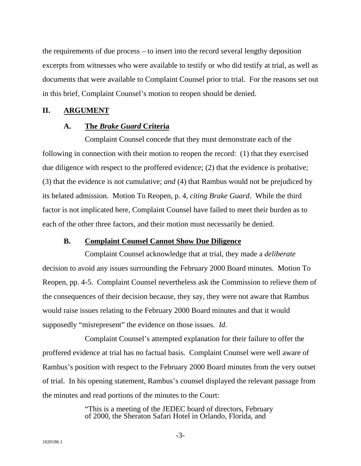the requirements of due process – to insert into the record several lengthy deposition excerpts from witnesses who were available to testify or who did testify at trial, as well as documents that were available to Complaint Counsel prior to trial. For the reasons set out in this brief, Complaint Counsel's motion to reopen should be denied.

#### **II. ARGUMENT**

#### **A. The** *Brake Guard* **Criteria**

Complaint Counsel concede that they must demonstrate each of the following in connection with their motion to reopen the record: (1) that they exercised due diligence with respect to the proffered evidence; (2) that the evidence is probative; (3) that the evidence is not cumulative; *and* (4) that Rambus would not be prejudiced by its belated admission. Motion To Reopen, p. 4, *citing Brake Guard*. While the third factor is not implicated here, Complaint Counsel have failed to meet their burden as to each of the other three factors, and their motion must necessarily be denied.

#### **B. Complaint Counsel Cannot Show Due Diligence**

Complaint Counsel acknowledge that at trial, they made a *deliberate* decision to avoid any issues surrounding the February 2000 Board minutes. Motion To Reopen, pp. 4-5. Complaint Counsel nevertheless ask the Commission to relieve them of the consequences of their decision because, they say, they were not aware that Rambus would raise issues relating to the February 2000 Board minutes and that it would supposedly "misrepresent" the evidence on those issues. *Id*.

Complaint Counsel's attempted explanation for their failure to offer the proffered evidence at trial has no factual basis. Complaint Counsel were well aware of Rambus's position with respect to the February 2000 Board minutes from the very outset of trial. In his opening statement, Rambus's counsel displayed the relevant passage from the minutes and read portions of the minutes to the Court:

> "This is a meeting of the JEDEC board of directors, February of 2000, the Sheraton Safari Hotel in Orlando, Florida, and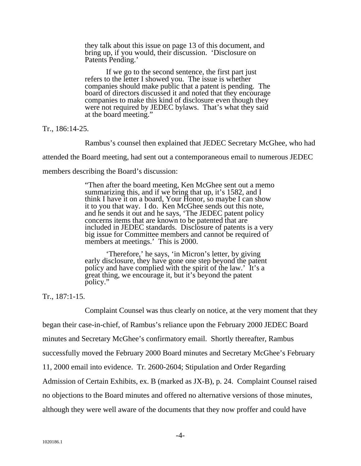they talk about this issue on page 13 of this document, and bring up, if you would, their discussion. 'Disclosure on Patents Pending.'

 If we go to the second sentence, the first part just refers to the letter I showed you. The issue is whether companies should make public that a patent is pending. The board of directors discussed it and noted that they encourage companies to make this kind of disclosure even though they were not required by JEDEC bylaws. That's what they said at the board meeting."

Tr., 186:14-25.

Rambus's counsel then explained that JEDEC Secretary McGhee, who had

attended the Board meeting, had sent out a contemporaneous email to numerous JEDEC

members describing the Board's discussion:

"Then after the board meeting, Ken McGhee sent out a memo summarizing this, and if we bring that up, it's 1582, and I think I have it on a board, Your Honor, so maybe I can show it to you that way. I do. Ken McGhee sends out this note, and he sends it out and he says, 'The JEDEC patent policy concerns items that are known to be patented that are included in JEDEC standards. Disclosure of patents is a very big issue for Committee members and cannot be required of members at meetings.' This is 2000.

 'Therefore,' he says, 'in Micron's letter, by giving early disclosure, they have gone one step beyond the patent policy and have complied with the spirit of the law.' It's a great thing, we encourage it, but it's beyond the patent policy."

Tr., 187:1-15.

Complaint Counsel was thus clearly on notice, at the very moment that they

began their case-in-chief, of Rambus's reliance upon the February 2000 JEDEC Board

minutes and Secretary McGhee's confirmatory email. Shortly thereafter, Rambus

successfully moved the February 2000 Board minutes and Secretary McGhee's February

11, 2000 email into evidence. Tr. 2600-2604; Stipulation and Order Regarding

Admission of Certain Exhibits, ex. B (marked as JX-B), p. 24. Complaint Counsel raised

no objections to the Board minutes and offered no alternative versions of those minutes,

although they were well aware of the documents that they now proffer and could have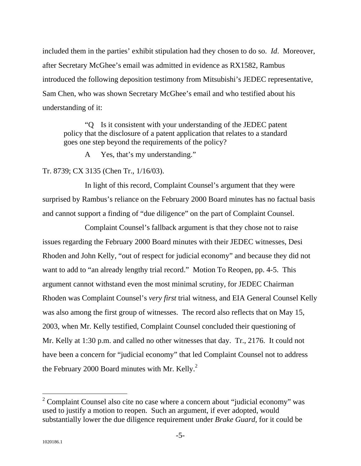included them in the parties' exhibit stipulation had they chosen to do so. *Id*. Moreover, after Secretary McGhee's email was admitted in evidence as RX1582, Rambus introduced the following deposition testimony from Mitsubishi's JEDEC representative, Sam Chen, who was shown Secretary McGhee's email and who testified about his understanding of it:

"Q Is it consistent with your understanding of the JEDEC patent policy that the disclosure of a patent application that relates to a standard goes one step beyond the requirements of the policy?

A Yes, that's my understanding."

### Tr. 8739; CX 3135 (Chen Tr., 1/16/03).

In light of this record, Complaint Counsel's argument that they were surprised by Rambus's reliance on the February 2000 Board minutes has no factual basis and cannot support a finding of "due diligence" on the part of Complaint Counsel.

Complaint Counsel's fallback argument is that they chose not to raise issues regarding the February 2000 Board minutes with their JEDEC witnesses, Desi Rhoden and John Kelly, "out of respect for judicial economy" and because they did not want to add to "an already lengthy trial record." Motion To Reopen, pp. 4-5. This argument cannot withstand even the most minimal scrutiny, for JEDEC Chairman Rhoden was Complaint Counsel's *very first* trial witness, and EIA General Counsel Kelly was also among the first group of witnesses. The record also reflects that on May 15, 2003, when Mr. Kelly testified, Complaint Counsel concluded their questioning of Mr. Kelly at 1:30 p.m. and called no other witnesses that day. Tr., 2176. It could not have been a concern for "judicial economy" that led Complaint Counsel not to address the February 2000 Board minutes with Mr. Kelly.<sup>2</sup>

 $\overline{a}$ 

 $2^2$  Complaint Counsel also cite no case where a concern about "judicial economy" was used to justify a motion to reopen. Such an argument, if ever adopted, would substantially lower the due diligence requirement under *Brake Guard,* for it could be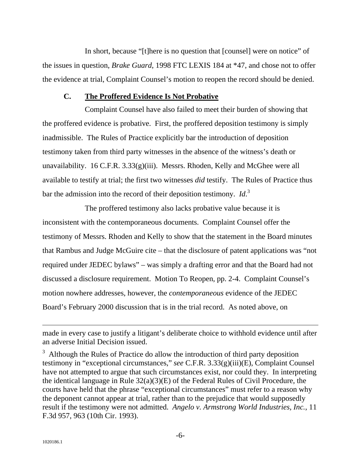In short, because "[t]here is no question that [counsel] were on notice" of the issues in question, *Brake Guard*, 1998 FTC LEXIS 184 at \*47, and chose not to offer the evidence at trial, Complaint Counsel's motion to reopen the record should be denied.

#### **C. The Proffered Evidence Is Not Probative**

Complaint Counsel have also failed to meet their burden of showing that the proffered evidence is probative. First, the proffered deposition testimony is simply inadmissible. The Rules of Practice explicitly bar the introduction of deposition testimony taken from third party witnesses in the absence of the witness's death or unavailability. 16 C.F.R. 3.33(g)(iii). Messrs. Rhoden, Kelly and McGhee were all available to testify at trial; the first two witnesses *did* testify. The Rules of Practice thus bar the admission into the record of their deposition testimony. *Id*. 3

The proffered testimony also lacks probative value because it is inconsistent with the contemporaneous documents. Complaint Counsel offer the testimony of Messrs. Rhoden and Kelly to show that the statement in the Board minutes that Rambus and Judge McGuire cite – that the disclosure of patent applications was "not required under JEDEC bylaws" – was simply a drafting error and that the Board had not discussed a disclosure requirement. Motion To Reopen, pp. 2-4. Complaint Counsel's motion nowhere addresses, however, the *contemporaneous* evidence of the JEDEC Board's February 2000 discussion that is in the trial record. As noted above, on

made in every case to justify a litigant's deliberate choice to withhold evidence until after an adverse Initial Decision issued.

 $3$  Although the Rules of Practice do allow the introduction of third party deposition testimony in "exceptional circumstances," *see* C.F.R. 3.33(g)(iii)(E), Complaint Counsel have not attempted to argue that such circumstances exist, nor could they. In interpreting the identical language in Rule 32(a)(3)(E) of the Federal Rules of Civil Procedure, the courts have held that the phrase "exceptional circumstances" must refer to a reason why the deponent cannot appear at trial, rather than to the prejudice that would supposedly result if the testimony were not admitted. *Angelo v. Armstrong World Industries, Inc.*, 11 F.3d 957, 963 (10th Cir. 1993).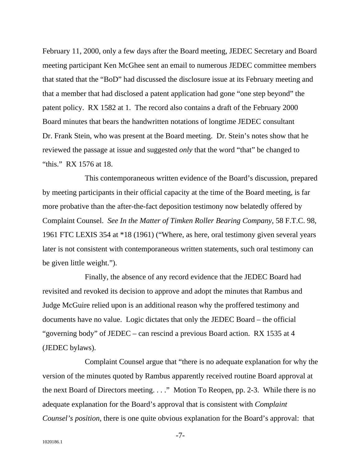February 11, 2000, only a few days after the Board meeting, JEDEC Secretary and Board meeting participant Ken McGhee sent an email to numerous JEDEC committee members that stated that the "BoD" had discussed the disclosure issue at its February meeting and that a member that had disclosed a patent application had gone "one step beyond" the patent policy. RX 1582 at 1. The record also contains a draft of the February 2000 Board minutes that bears the handwritten notations of longtime JEDEC consultant Dr. Frank Stein, who was present at the Board meeting. Dr. Stein's notes show that he reviewed the passage at issue and suggested *only* that the word "that" be changed to "this." RX 1576 at 18.

This contemporaneous written evidence of the Board's discussion, prepared by meeting participants in their official capacity at the time of the Board meeting, is far more probative than the after-the-fact deposition testimony now belatedly offered by Complaint Counsel. *See In the Matter of Timken Roller Bearing Company*, 58 F.T.C. 98, 1961 FTC LEXIS 354 at \*18 (1961) ("Where, as here, oral testimony given several years later is not consistent with contemporaneous written statements, such oral testimony can be given little weight.").

Finally, the absence of any record evidence that the JEDEC Board had revisited and revoked its decision to approve and adopt the minutes that Rambus and Judge McGuire relied upon is an additional reason why the proffered testimony and documents have no value. Logic dictates that only the JEDEC Board – the official "governing body" of JEDEC – can rescind a previous Board action. RX 1535 at 4 (JEDEC bylaws).

Complaint Counsel argue that "there is no adequate explanation for why the version of the minutes quoted by Rambus apparently received routine Board approval at the next Board of Directors meeting. . . ." Motion To Reopen, pp. 2-3. While there is no adequate explanation for the Board's approval that is consistent with *Complaint Counsel's position*, there is one quite obvious explanation for the Board's approval: that

-7-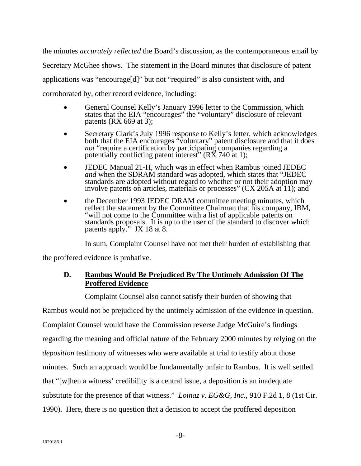the minutes *accurately reflected* the Board's discussion, as the contemporaneous email by Secretary McGhee shows. The statement in the Board minutes that disclosure of patent applications was "encourage[d]" but not "required" is also consistent with, and corroborated by, other record evidence, including:

- General Counsel Kelly's January 1996 letter to the Commission, which states that the EIA "encourages" the "voluntary" disclosure of relevant patents (RX 669 at 3);
- Secretary Clark's July 1996 response to Kelly's letter, which acknowledges both that the EIA encourages "voluntary" patent disclosure and that it does *not* "require a certification by participating companies regarding a potentially conflicting patent interest<sup>3</sup> ( $R\bar{X}$  740 at 1);
- JEDEC Manual 21-H, which was in effect when Rambus joined JEDEC *and* when the SDRAM standard was adopted, which states that "JEDEC standards are adopted without regard to whether or not their adoption may involve patents on articles, materials or processes" (CX 205A at 11); and
- the December 1993 JEDEC DRAM committee meeting minutes, which reflect the statement by the Committee Chairman that his company, IBM, "will not come to the Committee with a list of applicable patents on standards proposals. It is up to the user of the standard to discover which patents apply." JX 18 at 8.

In sum, Complaint Counsel have not met their burden of establishing that

the proffered evidence is probative.

### **D. Rambus Would Be Prejudiced By The Untimely Admission Of The Proffered Evidence**

Complaint Counsel also cannot satisfy their burden of showing that

Rambus would not be prejudiced by the untimely admission of the evidence in question. Complaint Counsel would have the Commission reverse Judge McGuire's findings regarding the meaning and official nature of the February 2000 minutes by relying on the *deposition* testimony of witnesses who were available at trial to testify about those minutes. Such an approach would be fundamentally unfair to Rambus. It is well settled that "[w]hen a witness' credibility is a central issue, a deposition is an inadequate substitute for the presence of that witness." *Loinaz v. EG&G, Inc.*, 910 F.2d 1, 8 (1st Cir. 1990). Here, there is no question that a decision to accept the proffered deposition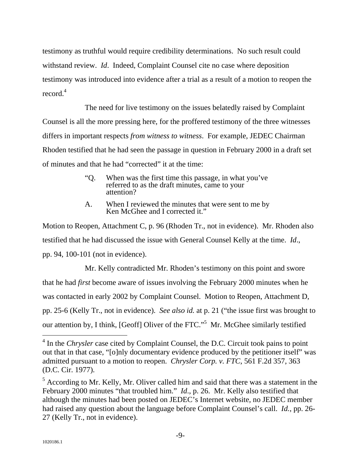testimony as truthful would require credibility determinations. No such result could withstand review. *Id*. Indeed, Complaint Counsel cite no case where deposition testimony was introduced into evidence after a trial as a result of a motion to reopen the record.<sup>4</sup>

The need for live testimony on the issues belatedly raised by Complaint Counsel is all the more pressing here, for the proffered testimony of the three witnesses differs in important respects *from witness to witness*. For example, JEDEC Chairman Rhoden testified that he had seen the passage in question in February 2000 in a draft set of minutes and that he had "corrected" it at the time:

- "Q. When was the first time this passage, in what you've referred to as the draft minutes, came to your attention?
- A. When I reviewed the minutes that were sent to me by Ken McGhee and I corrected it."

Motion to Reopen, Attachment C, p. 96 (Rhoden Tr., not in evidence). Mr. Rhoden also testified that he had discussed the issue with General Counsel Kelly at the time. *Id*., pp. 94, 100-101 (not in evidence).

Mr. Kelly contradicted Mr. Rhoden's testimony on this point and swore that he had *first* become aware of issues involving the February 2000 minutes when he was contacted in early 2002 by Complaint Counsel. Motion to Reopen, Attachment D, pp. 25-6 (Kelly Tr., not in evidence). *See also id.* at p. 21 ("the issue first was brought to our attention by, I think, [Geoff] Oliver of the FTC."<sup>5</sup> Mr. McGhee similarly testified

 $\overline{a}$ 

<sup>&</sup>lt;sup>4</sup> In the *Chrysler* case cited by Complaint Counsel, the D.C. Circuit took pains to point out that in that case, "[o]nly documentary evidence produced by the petitioner itself" was admitted pursuant to a motion to reopen. *Chrysler Corp. v. FTC*, 561 F.2d 357, 363 (D.C. Cir. 1977).

 $<sup>5</sup>$  According to Mr. Kelly, Mr. Oliver called him and said that there was a statement in the</sup> February 2000 minutes "that troubled him." *Id*., p. 26. Mr. Kelly also testified that although the minutes had been posted on JEDEC's Internet website, no JEDEC member had raised any question about the language before Complaint Counsel's call. *Id.*, pp. 26- 27 (Kelly Tr., not in evidence).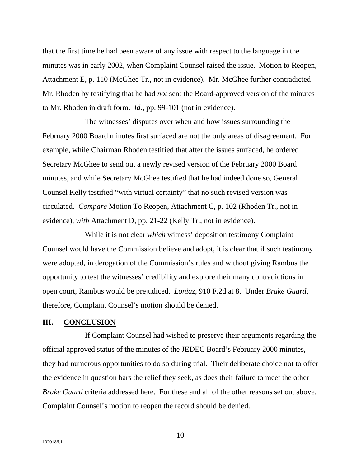that the first time he had been aware of any issue with respect to the language in the minutes was in early 2002, when Complaint Counsel raised the issue. Motion to Reopen, Attachment E, p. 110 (McGhee Tr., not in evidence). Mr. McGhee further contradicted Mr. Rhoden by testifying that he had *not* sent the Board-approved version of the minutes to Mr. Rhoden in draft form. *Id*., pp. 99-101 (not in evidence).

The witnesses' disputes over when and how issues surrounding the February 2000 Board minutes first surfaced are not the only areas of disagreement. For example, while Chairman Rhoden testified that after the issues surfaced, he ordered Secretary McGhee to send out a newly revised version of the February 2000 Board minutes, and while Secretary McGhee testified that he had indeed done so, General Counsel Kelly testified "with virtual certainty" that no such revised version was circulated. *Compare* Motion To Reopen, Attachment C, p. 102 (Rhoden Tr., not in evidence), *with* Attachment D, pp. 21-22 (Kelly Tr., not in evidence).

While it is not clear *which* witness' deposition testimony Complaint Counsel would have the Commission believe and adopt, it is clear that if such testimony were adopted, in derogation of the Commission's rules and without giving Rambus the opportunity to test the witnesses' credibility and explore their many contradictions in open court, Rambus would be prejudiced. *Loniaz*, 910 F.2d at 8. Under *Brake Guard*, therefore, Complaint Counsel's motion should be denied.

#### **III. CONCLUSION**

If Complaint Counsel had wished to preserve their arguments regarding the official approved status of the minutes of the JEDEC Board's February 2000 minutes, they had numerous opportunities to do so during trial. Their deliberate choice not to offer the evidence in question bars the relief they seek, as does their failure to meet the other *Brake Guard* criteria addressed here. For these and all of the other reasons set out above, Complaint Counsel's motion to reopen the record should be denied.

-10-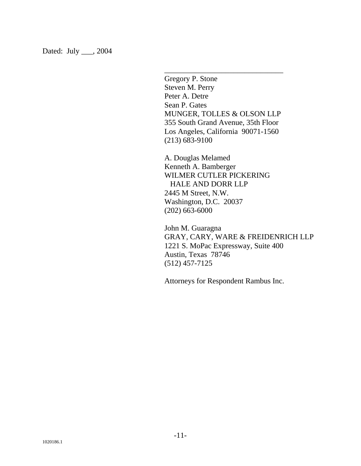Dated: July \_\_\_, 2004

Gregory P. Stone Steven M. Perry Peter A. Detre Sean P. Gates MUNGER, TOLLES & OLSON LLP 355 South Grand Avenue, 35th Floor Los Angeles, California 90071-1560 (213) 683-9100

\_\_\_\_\_\_\_\_\_\_\_\_\_\_\_\_\_\_\_\_\_\_\_\_\_\_\_\_\_\_\_

A. Douglas Melamed Kenneth A. Bamberger WILMER CUTLER PICKERING HALE AND DORR LLP 2445 M Street, N.W. Washington, D.C. 20037 (202) 663-6000

John M. Guaragna GRAY, CARY, WARE & FREIDENRICH LLP 1221 S. MoPac Expressway, Suite 400 Austin, Texas 78746 (512) 457-7125

Attorneys for Respondent Rambus Inc.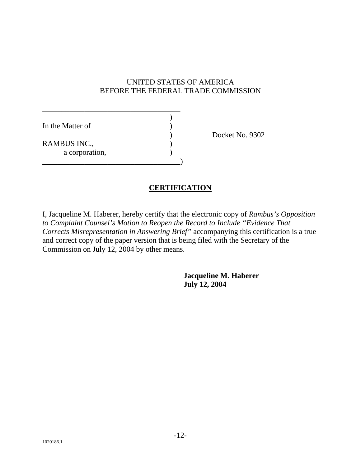### UNITED STATES OF AMERICA BEFORE THE FEDERAL TRADE COMMISSION

| In the Matter of |  |
|------------------|--|
|                  |  |
| RAMBUS INC.,     |  |
| a corporation,   |  |
|                  |  |

Docket No. 9302

# **CERTIFICATION**

I, Jacqueline M. Haberer, hereby certify that the electronic copy of *Rambus's Opposition to Complaint Counsel's Motion to Reopen the Record to Include "Evidence That Corrects Misrepresentation in Answering Brief"* accompanying this certification is a true and correct copy of the paper version that is being filed with the Secretary of the Commission on July 12, 2004 by other means.

> **Jacqueline M. Haberer July 12, 2004**